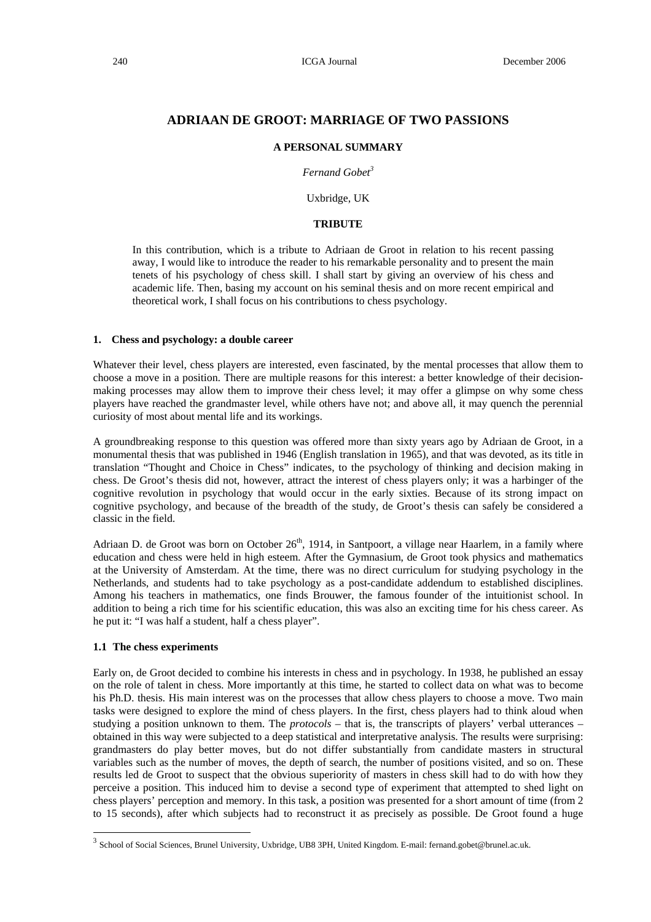# **ADRIAAN DE GROOT: MARRIAGE OF TWO PASSIONS**

### **A PERSONAL SUMMARY**

*Fernand Gobet3*

Uxbridge, UK

## **TRIBUTE**

In this contribution, which is a tribute to Adriaan de Groot in relation to his recent passing away, I would like to introduce the reader to his remarkable personality and to present the main tenets of his psychology of chess skill. I shall start by giving an overview of his chess and academic life. Then, basing my account on his seminal thesis and on more recent empirical and theoretical work, I shall focus on his contributions to chess psychology.

### **1. Chess and psychology: a double career**

Whatever their level, chess players are interested, even fascinated, by the mental processes that allow them to choose a move in a position. There are multiple reasons for this interest: a better knowledge of their decisionmaking processes may allow them to improve their chess level; it may offer a glimpse on why some chess players have reached the grandmaster level, while others have not; and above all, it may quench the perennial curiosity of most about mental life and its workings.

A groundbreaking response to this question was offered more than sixty years ago by Adriaan de Groot, in a monumental thesis that was published in 1946 (English translation in 1965), and that was devoted, as its title in translation "Thought and Choice in Chess" indicates, to the psychology of thinking and decision making in chess. De Groot's thesis did not, however, attract the interest of chess players only; it was a harbinger of the cognitive revolution in psychology that would occur in the early sixties. Because of its strong impact on cognitive psychology, and because of the breadth of the study, de Groot's thesis can safely be considered a classic in the field.

Adriaan D. de Groot was born on October 26<sup>th</sup>, 1914, in Santpoort, a village near Haarlem, in a family where education and chess were held in high esteem. After the Gymnasium, de Groot took physics and mathematics at the University of Amsterdam. At the time, there was no direct curriculum for studying psychology in the Netherlands, and students had to take psychology as a post-candidate addendum to established disciplines. Among his teachers in mathematics, one finds Brouwer, the famous founder of the intuitionist school. In addition to being a rich time for his scientific education, this was also an exciting time for his chess career. As he put it: "I was half a student, half a chess player".

### **1.1 The chess experiments**

l

Early on, de Groot decided to combine his interests in chess and in psychology. In 1938, he published an essay on the role of talent in chess. More importantly at this time, he started to collect data on what was to become his Ph.D. thesis. His main interest was on the processes that allow chess players to choose a move. Two main tasks were designed to explore the mind of chess players. In the first, chess players had to think aloud when studying a position unknown to them. The *protocols* – that is, the transcripts of players' verbal utterances – obtained in this way were subjected to a deep statistical and interpretative analysis. The results were surprising: grandmasters do play better moves, but do not differ substantially from candidate masters in structural variables such as the number of moves, the depth of search, the number of positions visited, and so on. These results led de Groot to suspect that the obvious superiority of masters in chess skill had to do with how they perceive a position. This induced him to devise a second type of experiment that attempted to shed light on chess players' perception and memory. In this task, a position was presented for a short amount of time (from 2 to 15 seconds), after which subjects had to reconstruct it as precisely as possible. De Groot found a huge

 $3$  School of Social Sciences, Brunel University, Uxbridge, UB8 3PH, United Kingdom. E-mail: fernand.gobet@brunel.ac.uk.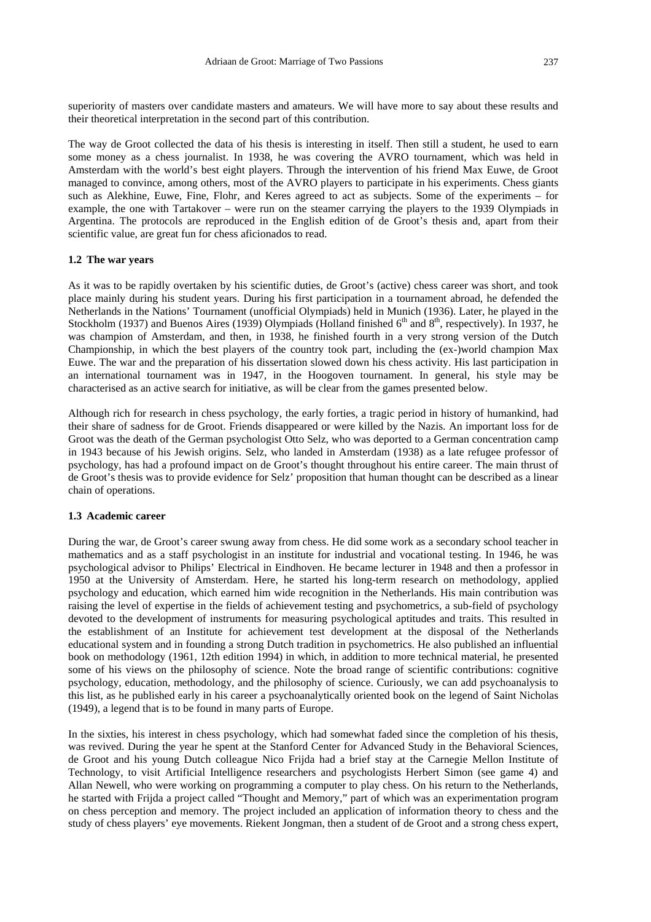superiority of masters over candidate masters and amateurs. We will have more to say about these results and their theoretical interpretation in the second part of this contribution.

The way de Groot collected the data of his thesis is interesting in itself. Then still a student, he used to earn some money as a chess journalist. In 1938, he was covering the AVRO tournament, which was held in Amsterdam with the world's best eight players. Through the intervention of his friend Max Euwe, de Groot managed to convince, among others, most of the AVRO players to participate in his experiments. Chess giants such as Alekhine, Euwe, Fine, Flohr, and Keres agreed to act as subjects. Some of the experiments – for example, the one with Tartakover – were run on the steamer carrying the players to the 1939 Olympiads in Argentina. The protocols are reproduced in the English edition of de Groot's thesis and, apart from their scientific value, are great fun for chess aficionados to read.

### **1.2 The war years**

As it was to be rapidly overtaken by his scientific duties, de Groot's (active) chess career was short, and took place mainly during his student years. During his first participation in a tournament abroad, he defended the Netherlands in the Nations' Tournament (unofficial Olympiads) held in Munich (1936). Later, he played in the Stockholm (1937) and Buenos Aires (1939) Olympiads (Holland finished  $6<sup>th</sup>$  and  $8<sup>th</sup>$ , respectively). In 1937, he was champion of Amsterdam, and then, in 1938, he finished fourth in a very strong version of the Dutch Championship, in which the best players of the country took part, including the (ex-)world champion Max Euwe. The war and the preparation of his dissertation slowed down his chess activity. His last participation in an international tournament was in 1947, in the Hoogoven tournament. In general, his style may be characterised as an active search for initiative, as will be clear from the games presented below.

Although rich for research in chess psychology, the early forties, a tragic period in history of humankind, had their share of sadness for de Groot. Friends disappeared or were killed by the Nazis. An important loss for de Groot was the death of the German psychologist Otto Selz, who was deported to a German concentration camp in 1943 because of his Jewish origins. Selz, who landed in Amsterdam (1938) as a late refugee professor of psychology, has had a profound impact on de Groot's thought throughout his entire career. The main thrust of de Groot's thesis was to provide evidence for Selz' proposition that human thought can be described as a linear chain of operations.

### **1.3 Academic career**

During the war, de Groot's career swung away from chess. He did some work as a secondary school teacher in mathematics and as a staff psychologist in an institute for industrial and vocational testing. In 1946, he was psychological advisor to Philips' Electrical in Eindhoven. He became lecturer in 1948 and then a professor in 1950 at the University of Amsterdam. Here, he started his long-term research on methodology, applied psychology and education, which earned him wide recognition in the Netherlands. His main contribution was raising the level of expertise in the fields of achievement testing and psychometrics, a sub-field of psychology devoted to the development of instruments for measuring psychological aptitudes and traits. This resulted in the establishment of an Institute for achievement test development at the disposal of the Netherlands educational system and in founding a strong Dutch tradition in psychometrics. He also published an influential book on methodology (1961, 12th edition 1994) in which, in addition to more technical material, he presented some of his views on the philosophy of science. Note the broad range of scientific contributions: cognitive psychology, education, methodology, and the philosophy of science. Curiously, we can add psychoanalysis to this list, as he published early in his career a psychoanalytically oriented book on the legend of Saint Nicholas (1949), a legend that is to be found in many parts of Europe.

In the sixties, his interest in chess psychology, which had somewhat faded since the completion of his thesis, was revived. During the year he spent at the Stanford Center for Advanced Study in the Behavioral Sciences, de Groot and his young Dutch colleague Nico Frijda had a brief stay at the Carnegie Mellon Institute of Technology, to visit Artificial Intelligence researchers and psychologists Herbert Simon (see game 4) and Allan Newell, who were working on programming a computer to play chess. On his return to the Netherlands, he started with Frijda a project called "Thought and Memory," part of which was an experimentation program on chess perception and memory. The project included an application of information theory to chess and the study of chess players' eye movements. Riekent Jongman, then a student of de Groot and a strong chess expert,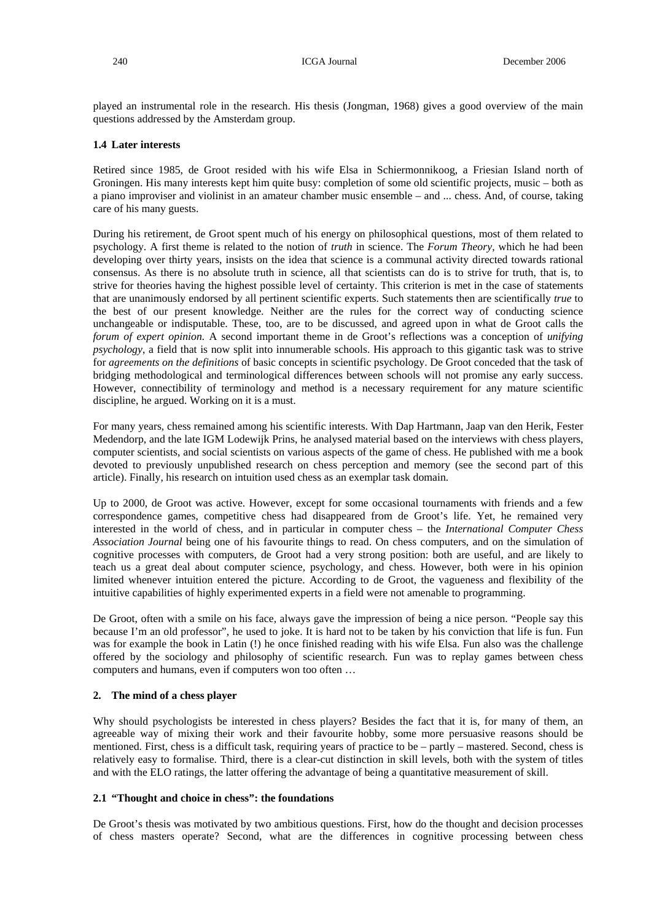played an instrumental role in the research. His thesis (Jongman, 1968) gives a good overview of the main questions addressed by the Amsterdam group.

## **1.4 Later interests**

Retired since 1985, de Groot resided with his wife Elsa in Schiermonnikoog, a Friesian Island north of Groningen. His many interests kept him quite busy: completion of some old scientific projects, music – both as a piano improviser and violinist in an amateur chamber music ensemble – and ... chess. And, of course, taking care of his many guests.

During his retirement, de Groot spent much of his energy on philosophical questions, most of them related to psychology. A first theme is related to the notion of *truth* in science. The *Forum Theory*, which he had been developing over thirty years, insists on the idea that science is a communal activity directed towards rational consensus. As there is no absolute truth in science, all that scientists can do is to strive for truth, that is, to strive for theories having the highest possible level of certainty. This criterion is met in the case of statements that are unanimously endorsed by all pertinent scientific experts. Such statements then are scientifically *true* to the best of our present knowledge. Neither are the rules for the correct way of conducting science unchangeable or indisputable. These, too, are to be discussed, and agreed upon in what de Groot calls the *forum of expert opinion.* A second important theme in de Groot's reflections was a conception of *unifying psychology*, a field that is now split into innumerable schools. His approach to this gigantic task was to strive for *agreements on the definitions* of basic concepts in scientific psychology. De Groot conceded that the task of bridging methodological and terminological differences between schools will not promise any early success. However, connectibility of terminology and method is a necessary requirement for any mature scientific discipline, he argued. Working on it is a must.

For many years, chess remained among his scientific interests. With Dap Hartmann, Jaap van den Herik, Fester Medendorp, and the late IGM Lodewijk Prins, he analysed material based on the interviews with chess players, computer scientists, and social scientists on various aspects of the game of chess. He published with me a book devoted to previously unpublished research on chess perception and memory (see the second part of this article). Finally, his research on intuition used chess as an exemplar task domain.

Up to 2000, de Groot was active. However, except for some occasional tournaments with friends and a few correspondence games, competitive chess had disappeared from de Groot's life. Yet, he remained very interested in the world of chess, and in particular in computer chess – the *International Computer Chess Association Journal* being one of his favourite things to read. On chess computers, and on the simulation of cognitive processes with computers, de Groot had a very strong position: both are useful, and are likely to teach us a great deal about computer science, psychology, and chess. However, both were in his opinion limited whenever intuition entered the picture. According to de Groot, the vagueness and flexibility of the intuitive capabilities of highly experimented experts in a field were not amenable to programming.

De Groot, often with a smile on his face, always gave the impression of being a nice person. "People say this because I'm an old professor", he used to joke. It is hard not to be taken by his conviction that life is fun. Fun was for example the book in Latin (!) he once finished reading with his wife Elsa. Fun also was the challenge offered by the sociology and philosophy of scientific research. Fun was to replay games between chess computers and humans, even if computers won too often …

### **2. The mind of a chess player**

Why should psychologists be interested in chess players? Besides the fact that it is, for many of them, an agreeable way of mixing their work and their favourite hobby, some more persuasive reasons should be mentioned. First, chess is a difficult task, requiring years of practice to be – partly – mastered. Second, chess is relatively easy to formalise. Third, there is a clear-cut distinction in skill levels, both with the system of titles and with the ELO ratings, the latter offering the advantage of being a quantitative measurement of skill.

### **2.1 "Thought and choice in chess": the foundations**

De Groot's thesis was motivated by two ambitious questions. First, how do the thought and decision processes of chess masters operate? Second, what are the differences in cognitive processing between chess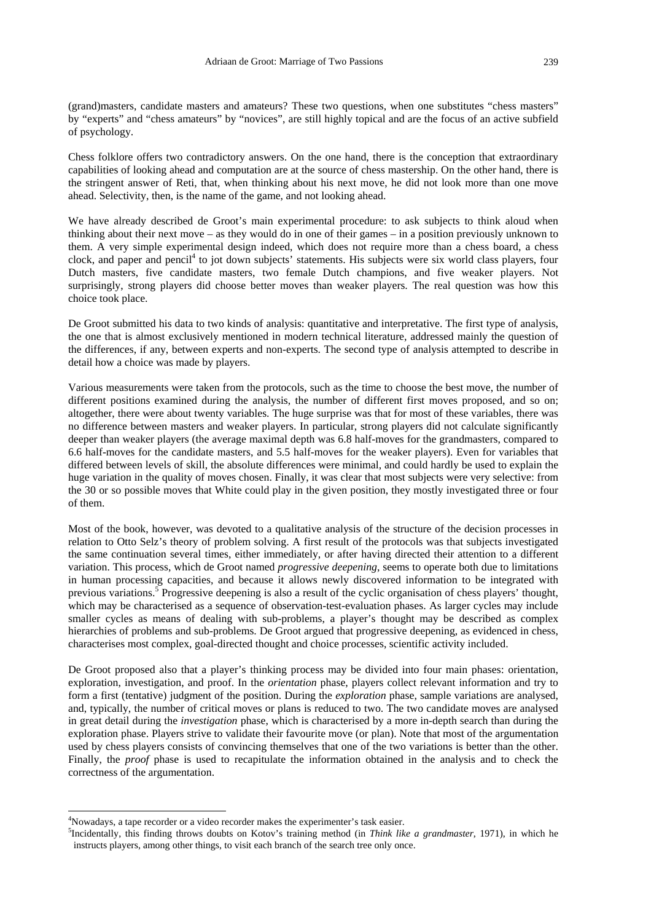(grand)masters, candidate masters and amateurs? These two questions, when one substitutes "chess masters" by "experts" and "chess amateurs" by "novices", are still highly topical and are the focus of an active subfield of psychology.

Chess folklore offers two contradictory answers. On the one hand, there is the conception that extraordinary capabilities of looking ahead and computation are at the source of chess mastership. On the other hand, there is the stringent answer of Reti, that, when thinking about his next move, he did not look more than one move ahead. Selectivity, then, is the name of the game, and not looking ahead.

We have already described de Groot's main experimental procedure: to ask subjects to think aloud when thinking about their next move – as they would do in one of their games – in a position previously unknown to them. A very simple experimental design indeed, which does not require more than a chess board, a chess clock, and paper and pencil<sup>4</sup> to jot down subjects' statements. His subjects were six world class players, four Dutch masters, five candidate masters, two female Dutch champions, and five weaker players. Not surprisingly, strong players did choose better moves than weaker players. The real question was how this choice took place.

De Groot submitted his data to two kinds of analysis: quantitative and interpretative. The first type of analysis, the one that is almost exclusively mentioned in modern technical literature, addressed mainly the question of the differences, if any, between experts and non-experts. The second type of analysis attempted to describe in detail how a choice was made by players.

Various measurements were taken from the protocols, such as the time to choose the best move, the number of different positions examined during the analysis, the number of different first moves proposed, and so on; altogether, there were about twenty variables. The huge surprise was that for most of these variables, there was no difference between masters and weaker players. In particular, strong players did not calculate significantly deeper than weaker players (the average maximal depth was 6.8 half-moves for the grandmasters, compared to 6.6 half-moves for the candidate masters, and 5.5 half-moves for the weaker players). Even for variables that differed between levels of skill, the absolute differences were minimal, and could hardly be used to explain the huge variation in the quality of moves chosen. Finally, it was clear that most subjects were very selective: from the 30 or so possible moves that White could play in the given position, they mostly investigated three or four of them.

Most of the book, however, was devoted to a qualitative analysis of the structure of the decision processes in relation to Otto Selz's theory of problem solving. A first result of the protocols was that subjects investigated the same continuation several times, either immediately, or after having directed their attention to a different variation. This process, which de Groot named *progressive deepening*, seems to operate both due to limitations in human processing capacities, and because it allows newly discovered information to be integrated with previous variations.<sup>5</sup> Progressive deepening is also a result of the cyclic organisation of chess players' thought, which may be characterised as a sequence of observation-test-evaluation phases. As larger cycles may include smaller cycles as means of dealing with sub-problems, a player's thought may be described as complex hierarchies of problems and sub-problems. De Groot argued that progressive deepening, as evidenced in chess, characterises most complex, goal-directed thought and choice processes, scientific activity included.

De Groot proposed also that a player's thinking process may be divided into four main phases: orientation, exploration, investigation, and proof. In the *orientation* phase, players collect relevant information and try to form a first (tentative) judgment of the position. During the *exploration* phase, sample variations are analysed, and, typically, the number of critical moves or plans is reduced to two. The two candidate moves are analysed in great detail during the *investigation* phase, which is characterised by a more in-depth search than during the exploration phase. Players strive to validate their favourite move (or plan). Note that most of the argumentation used by chess players consists of convincing themselves that one of the two variations is better than the other. Finally, the *proof* phase is used to recapitulate the information obtained in the analysis and to check the correctness of the argumentation.

 $\overline{a}$ 

<sup>&</sup>lt;sup>4</sup>Nowadays, a tape recorder or a video recorder makes the experimenter's task easier.

<sup>5</sup> Incidentally, this finding throws doubts on Kotov's training method (in *Think like a grandmaster*, 1971), in which he instructs players, among other things, to visit each branch of the search tree only once.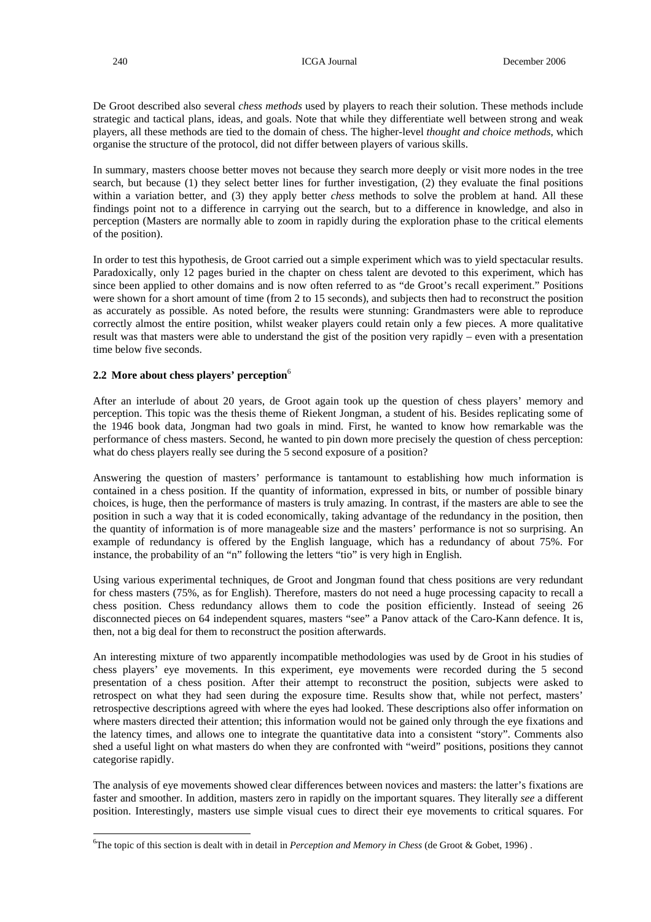De Groot described also several *chess methods* used by players to reach their solution. These methods include strategic and tactical plans, ideas, and goals. Note that while they differentiate well between strong and weak players, all these methods are tied to the domain of chess. The higher-level *thought and choice methods*, which organise the structure of the protocol, did not differ between players of various skills.

In summary, masters choose better moves not because they search more deeply or visit more nodes in the tree search, but because (1) they select better lines for further investigation, (2) they evaluate the final positions within a variation better, and (3) they apply better *chess* methods to solve the problem at hand. All these findings point not to a difference in carrying out the search, but to a difference in knowledge, and also in perception (Masters are normally able to zoom in rapidly during the exploration phase to the critical elements of the position).

In order to test this hypothesis, de Groot carried out a simple experiment which was to yield spectacular results. Paradoxically, only 12 pages buried in the chapter on chess talent are devoted to this experiment, which has since been applied to other domains and is now often referred to as "de Groot's recall experiment." Positions were shown for a short amount of time (from 2 to 15 seconds), and subjects then had to reconstruct the position as accurately as possible. As noted before, the results were stunning: Grandmasters were able to reproduce correctly almost the entire position, whilst weaker players could retain only a few pieces. A more qualitative result was that masters were able to understand the gist of the position very rapidly – even with a presentation time below five seconds.

# **2.2 More about chess players' perception**<sup>6</sup>

After an interlude of about 20 years, de Groot again took up the question of chess players' memory and perception. This topic was the thesis theme of Riekent Jongman, a student of his. Besides replicating some of the 1946 book data, Jongman had two goals in mind. First, he wanted to know how remarkable was the performance of chess masters. Second, he wanted to pin down more precisely the question of chess perception: what do chess players really see during the 5 second exposure of a position?

Answering the question of masters' performance is tantamount to establishing how much information is contained in a chess position. If the quantity of information, expressed in bits, or number of possible binary choices, is huge, then the performance of masters is truly amazing. In contrast, if the masters are able to see the position in such a way that it is coded economically, taking advantage of the redundancy in the position, then the quantity of information is of more manageable size and the masters' performance is not so surprising. An example of redundancy is offered by the English language, which has a redundancy of about 75%. For instance, the probability of an "n" following the letters "tio" is very high in English.

Using various experimental techniques, de Groot and Jongman found that chess positions are very redundant for chess masters (75%, as for English). Therefore, masters do not need a huge processing capacity to recall a chess position. Chess redundancy allows them to code the position efficiently. Instead of seeing 26 disconnected pieces on 64 independent squares, masters "see" a Panov attack of the Caro-Kann defence. It is, then, not a big deal for them to reconstruct the position afterwards.

An interesting mixture of two apparently incompatible methodologies was used by de Groot in his studies of chess players' eye movements. In this experiment, eye movements were recorded during the 5 second presentation of a chess position. After their attempt to reconstruct the position, subjects were asked to retrospect on what they had seen during the exposure time. Results show that, while not perfect, masters' retrospective descriptions agreed with where the eyes had looked. These descriptions also offer information on where masters directed their attention; this information would not be gained only through the eye fixations and the latency times, and allows one to integrate the quantitative data into a consistent "story". Comments also shed a useful light on what masters do when they are confronted with "weird" positions, positions they cannot categorise rapidly.

The analysis of eye movements showed clear differences between novices and masters: the latter's fixations are faster and smoother. In addition, masters zero in rapidly on the important squares. They literally *see* a different position. Interestingly, masters use simple visual cues to direct their eye movements to critical squares. For

l

<sup>6</sup> The topic of this section is dealt with in detail in *Perception and Memory in Chess* (de Groot & Gobet, 1996) .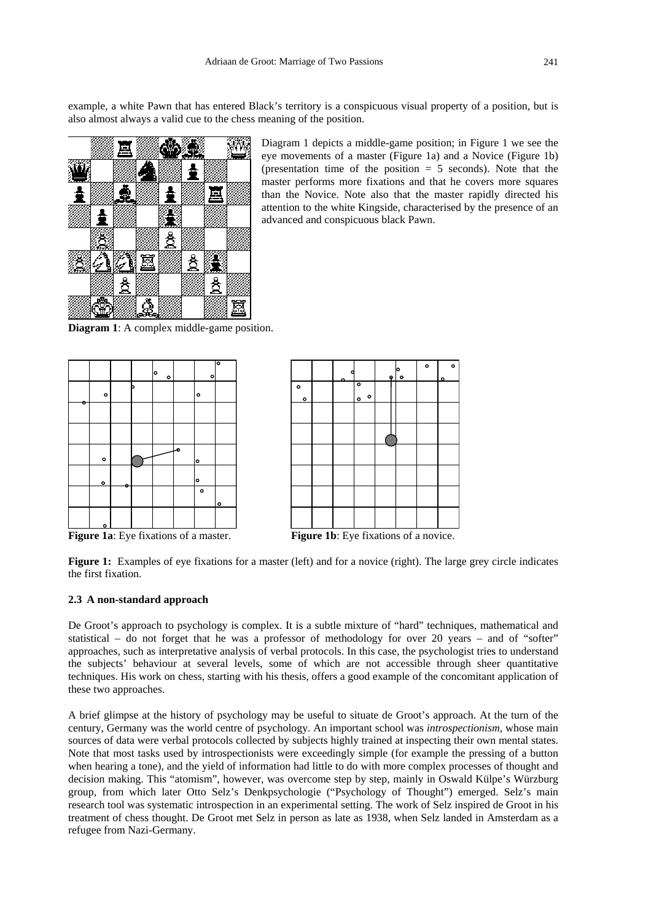example, a white Pawn that has entered Black's territory is a conspicuous visual property of a position, but is also almost always a valid cue to the chess meaning of the position.



Diagram 1 depicts a middle-game position; in Figure 1 we see the eye movements of a master (Figure 1a) and a Novice (Figure 1b) (presentation time of the position  $= 5$  seconds). Note that the master performs more fixations and that he covers more squares than the Novice. Note also that the master rapidly directed his attention to the white Kingside, characterised by the presence of an advanced and conspicuous black Pawn.

**Diagram 1**: A complex middle-game position.



**Figure 1a**: Eye fixations of a master. **Figure 1b**: Eye fixations of a novice.



Figure 1: Examples of eye fixations for a master (left) and for a novice (right). The large grey circle indicates the first fixation.

# **2.3 A non-standard approach**

De Groot's approach to psychology is complex. It is a subtle mixture of "hard" techniques, mathematical and statistical – do not forget that he was a professor of methodology for over 20 years – and of "softer" approaches, such as interpretative analysis of verbal protocols. In this case, the psychologist tries to understand the subjects' behaviour at several levels, some of which are not accessible through sheer quantitative techniques. His work on chess, starting with his thesis, offers a good example of the concomitant application of these two approaches.

A brief glimpse at the history of psychology may be useful to situate de Groot's approach. At the turn of the century, Germany was the world centre of psychology. An important school was *introspectionism*, whose main sources of data were verbal protocols collected by subjects highly trained at inspecting their own mental states. Note that most tasks used by introspectionists were exceedingly simple (for example the pressing of a button when hearing a tone), and the yield of information had little to do with more complex processes of thought and decision making. This "atomism", however, was overcome step by step, mainly in Oswald Külpe's Würzburg group, from which later Otto Selz's Denkpsychologie ("Psychology of Thought") emerged. Selz's main research tool was systematic introspection in an experimental setting. The work of Selz inspired de Groot in his treatment of chess thought. De Groot met Selz in person as late as 1938, when Selz landed in Amsterdam as a refugee from Nazi-Germany.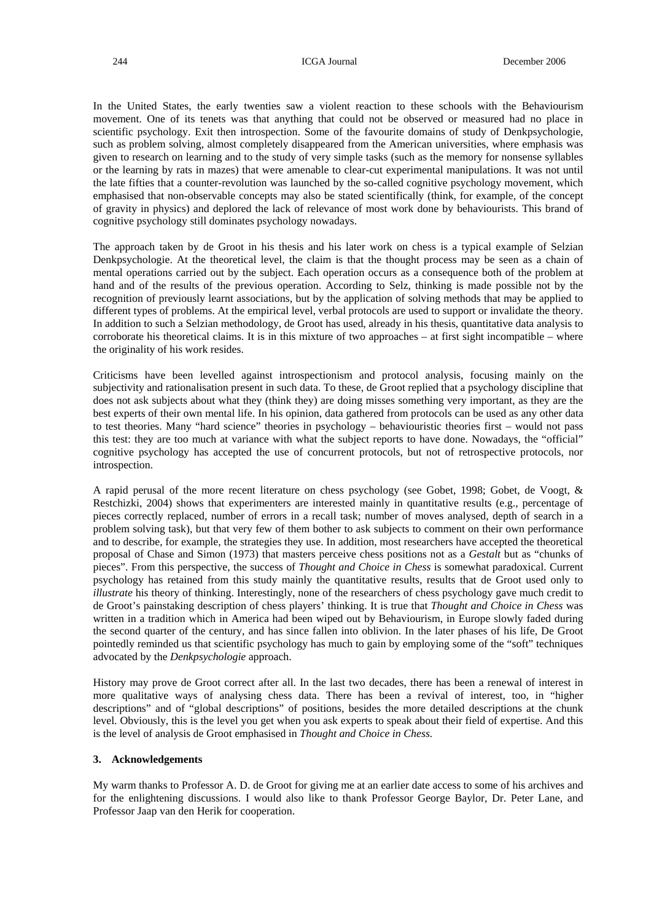In the United States, the early twenties saw a violent reaction to these schools with the Behaviourism movement. One of its tenets was that anything that could not be observed or measured had no place in scientific psychology. Exit then introspection. Some of the favourite domains of study of Denkpsychologie, such as problem solving, almost completely disappeared from the American universities, where emphasis was given to research on learning and to the study of very simple tasks (such as the memory for nonsense syllables or the learning by rats in mazes) that were amenable to clear-cut experimental manipulations. It was not until the late fifties that a counter-revolution was launched by the so-called cognitive psychology movement, which emphasised that non-observable concepts may also be stated scientifically (think, for example, of the concept of gravity in physics) and deplored the lack of relevance of most work done by behaviourists. This brand of cognitive psychology still dominates psychology nowadays.

The approach taken by de Groot in his thesis and his later work on chess is a typical example of Selzian Denkpsychologie. At the theoretical level, the claim is that the thought process may be seen as a chain of mental operations carried out by the subject. Each operation occurs as a consequence both of the problem at hand and of the results of the previous operation. According to Selz, thinking is made possible not by the recognition of previously learnt associations, but by the application of solving methods that may be applied to different types of problems. At the empirical level, verbal protocols are used to support or invalidate the theory. In addition to such a Selzian methodology, de Groot has used, already in his thesis, quantitative data analysis to corroborate his theoretical claims. It is in this mixture of two approaches – at first sight incompatible – where the originality of his work resides.

Criticisms have been levelled against introspectionism and protocol analysis, focusing mainly on the subjectivity and rationalisation present in such data. To these, de Groot replied that a psychology discipline that does not ask subjects about what they (think they) are doing misses something very important, as they are the best experts of their own mental life. In his opinion, data gathered from protocols can be used as any other data to test theories. Many "hard science" theories in psychology – behaviouristic theories first – would not pass this test: they are too much at variance with what the subject reports to have done. Nowadays, the "official" cognitive psychology has accepted the use of concurrent protocols, but not of retrospective protocols, nor introspection.

A rapid perusal of the more recent literature on chess psychology (see Gobet, 1998; Gobet, de Voogt, & Restchizki, 2004) shows that experimenters are interested mainly in quantitative results (e.g., percentage of pieces correctly replaced, number of errors in a recall task; number of moves analysed, depth of search in a problem solving task), but that very few of them bother to ask subjects to comment on their own performance and to describe, for example, the strategies they use. In addition, most researchers have accepted the theoretical proposal of Chase and Simon (1973) that masters perceive chess positions not as a *Gestalt* but as "chunks of pieces". From this perspective, the success of *Thought and Choice in Chess* is somewhat paradoxical. Current psychology has retained from this study mainly the quantitative results, results that de Groot used only to *illustrate* his theory of thinking. Interestingly, none of the researchers of chess psychology gave much credit to de Groot's painstaking description of chess players' thinking. It is true that *Thought and Choice in Chess* was written in a tradition which in America had been wiped out by Behaviourism, in Europe slowly faded during the second quarter of the century, and has since fallen into oblivion. In the later phases of his life, De Groot pointedly reminded us that scientific psychology has much to gain by employing some of the "soft" techniques advocated by the *Denkpsychologie* approach.

History may prove de Groot correct after all. In the last two decades, there has been a renewal of interest in more qualitative ways of analysing chess data. There has been a revival of interest, too, in "higher descriptions" and of "global descriptions" of positions, besides the more detailed descriptions at the chunk level. Obviously, this is the level you get when you ask experts to speak about their field of expertise. And this is the level of analysis de Groot emphasised in *Thought and Choice in Chess.* 

## **3. Acknowledgements**

My warm thanks to Professor A. D. de Groot for giving me at an earlier date access to some of his archives and for the enlightening discussions. I would also like to thank Professor George Baylor, Dr. Peter Lane, and Professor Jaap van den Herik for cooperation.